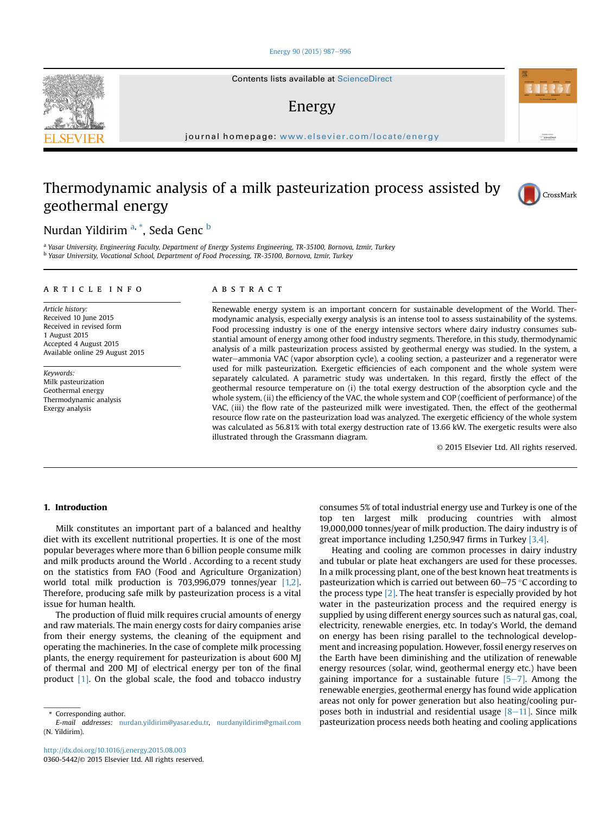#### [Energy 90 \(2015\) 987](http://dx.doi.org/10.1016/j.energy.2015.08.003)-[996](http://dx.doi.org/10.1016/j.energy.2015.08.003)

Contents lists available at ScienceDirect

## Energy

journal homepage: [www.elsevier.com/locate/energy](http://www.elsevier.com/locate/energy)

# Thermodynamic analysis of a milk pasteurization process assisted by geothermal energy



Antibiotics in<br>ScienceDire

Nurdan Yildirim <sup>a, \*</sup>, Seda Genc <sup>b</sup>

a Yasar University, Engineering Faculty, Department of Energy Systems Engineering, TR-35100, Bornova, Izmir, Turkey <sup>b</sup> Yasar University, Vocational School, Department of Food Processing, TR-35100, Bornova, Izmir, Turkey

#### article info

Article history: Received 10 June 2015 Received in revised form 1 August 2015 Accepted 4 August 2015 Available online 29 August 2015

Keywords: Milk pasteurization Geothermal energy Thermodynamic analysis Exergy analysis

## ABSTRACT

Renewable energy system is an important concern for sustainable development of the World. Thermodynamic analysis, especially exergy analysis is an intense tool to assess sustainability of the systems. Food processing industry is one of the energy intensive sectors where dairy industry consumes substantial amount of energy among other food industry segments. Therefore, in this study, thermodynamic analysis of a milk pasteurization process assisted by geothermal energy was studied. In the system, a water-ammonia VAC (vapor absorption cycle), a cooling section, a pasteurizer and a regenerator were used for milk pasteurization. Exergetic efficiencies of each component and the whole system were separately calculated. A parametric study was undertaken. In this regard, firstly the effect of the geothermal resource temperature on (i) the total exergy destruction of the absorption cycle and the whole system, (ii) the efficiency of the VAC, the whole system and COP (coefficient of performance) of the VAC, (iii) the flow rate of the pasteurized milk were investigated. Then, the effect of the geothermal resource flow rate on the pasteurization load was analyzed. The exergetic efficiency of the whole system was calculated as 56.81% with total exergy destruction rate of 13.66 kW. The exergetic results were also illustrated through the Grassmann diagram.

© 2015 Elsevier Ltd. All rights reserved.

#### 1. Introduction

Milk constitutes an important part of a balanced and healthy diet with its excellent nutritional properties. It is one of the most popular beverages where more than 6 billion people consume milk and milk products around the World . According to a recent study on the statistics from FAO (Food and Agriculture Organization) world total milk production is 703,996,079 tonnes/year [1,2]. Therefore, producing safe milk by pasteurization process is a vital issue for human health.

The production of fluid milk requires crucial amounts of energy and raw materials. The main energy costs for dairy companies arise from their energy systems, the cleaning of the equipment and operating the machineries. In the case of complete milk processing plants, the energy requirement for pasteurization is about 600 MJ of thermal and 200 MJ of electrical energy per ton of the final product [1]. On the global scale, the food and tobacco industry

\* Corresponding author.

consumes 5% of total industrial energy use and Turkey is one of the top ten largest milk producing countries with almost 19,000,000 tonnes/year of milk production. The dairy industry is of great importance including 1,250,947 firms in Turkey [3,4].

Heating and cooling are common processes in dairy industry and tubular or plate heat exchangers are used for these processes. In a milk processing plant, one of the best known heat treatments is pasteurization which is carried out between  $60-75$  °C according to the process type [2]. The heat transfer is especially provided by hot water in the pasteurization process and the required energy is supplied by using different energy sources such as natural gas, coal, electricity, renewable energies, etc. In today's World, the demand on energy has been rising parallel to the technological development and increasing population. However, fossil energy reserves on the Earth have been diminishing and the utilization of renewable energy resources (solar, wind, geothermal energy etc.) have been gaining importance for a sustainable future  $[5-7]$ . Among the renewable energies, geothermal energy has found wide application areas not only for power generation but also heating/cooling purposes both in industrial and residential usage  $[8-11]$ . Since milk pasteurization process needs both heating and cooling applications



E-mail addresses: [nurdan.yildirim@yasar.edu.tr,](mailto:nurdan.yildirim@yasar.edu.tr) [nurdanyildirim@gmail.com](mailto:nurdanyildirim@gmail.com) (N. Yildirim).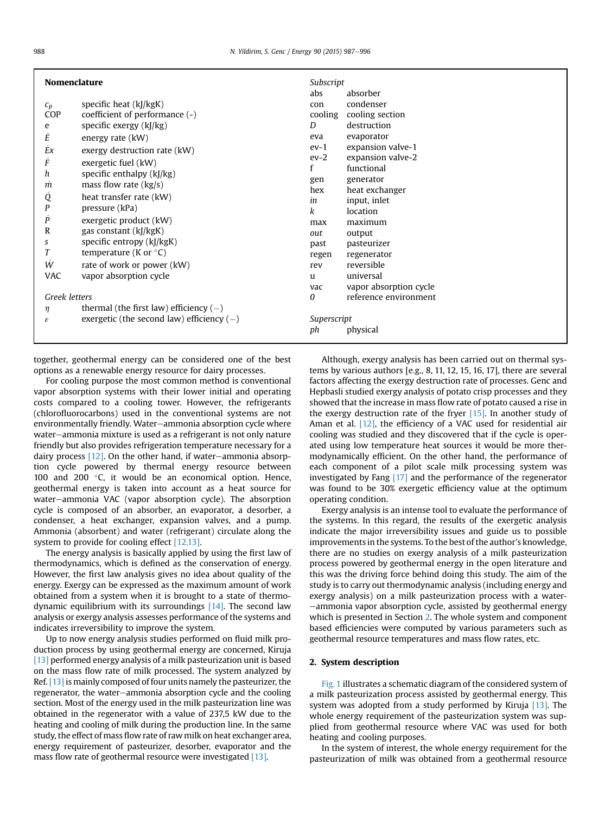| <b>Nomenclature</b>                                                                                                            |                                                                                                                                                                                                                                                                                                                                                                                                                                                                                                                                             | Subscript                                                                                                                                                  |                                                                                                                                                                                                                                                                                                                                       |
|--------------------------------------------------------------------------------------------------------------------------------|---------------------------------------------------------------------------------------------------------------------------------------------------------------------------------------------------------------------------------------------------------------------------------------------------------------------------------------------------------------------------------------------------------------------------------------------------------------------------------------------------------------------------------------------|------------------------------------------------------------------------------------------------------------------------------------------------------------|---------------------------------------------------------------------------------------------------------------------------------------------------------------------------------------------------------------------------------------------------------------------------------------------------------------------------------------|
| $c_p$<br><b>COP</b><br>e<br>Ė<br>Ex<br>Ė<br>h<br>m<br>Q<br>P<br>P<br>R<br>S<br>T<br>Ŵ<br><b>VAC</b><br>Greek letters<br>η<br>ε | specific heat (kJ/kgK)<br>coefficient of performance (-)<br>specific exergy (kJ/kg)<br>energy rate (kW)<br>exergy destruction rate (kW)<br>exergetic fuel (kW)<br>specific enthalpy $(k)/kg$ )<br>mass flow rate $(kg/s)$<br>heat transfer rate (kW)<br>pressure (kPa)<br>exergetic product (kW)<br>gas constant (kJ/kgK)<br>specific entropy (kJ/kgK)<br>temperature (K or $\degree$ C)<br>rate of work or power (kW)<br>vapor absorption cycle<br>thermal (the first law) efficiency $(-)$<br>exergetic (the second law) efficiency $(-)$ | abs<br>con<br>cooling<br>D<br>eva<br>$ev-1$<br>$ev-2$<br>gen<br>hex<br>in<br>k<br>max<br>out<br>past<br>regen<br>rev<br>u<br>vac<br>0<br>Superscript<br>ph | absorber<br>condenser<br>cooling section<br>destruction<br>evaporator<br>expansion valve-1<br>expansion valve-2<br>functional<br>generator<br>heat exchanger<br>input, inlet<br>location<br>maximum<br>output<br>pasteurizer<br>regenerator<br>reversible<br>universal<br>vapor absorption cycle<br>reference environment<br>physical |
|                                                                                                                                |                                                                                                                                                                                                                                                                                                                                                                                                                                                                                                                                             |                                                                                                                                                            |                                                                                                                                                                                                                                                                                                                                       |

together, geothermal energy can be considered one of the best options as a renewable energy resource for dairy processes.

For cooling purpose the most common method is conventional vapor absorption systems with their lower initial and operating costs compared to a cooling tower. However, the refrigerants (chlorofluorocarbons) used in the conventional systems are not environmentally friendly. Water-ammonia absorption cycle where water-ammonia mixture is used as a refrigerant is not only nature friendly but also provides refrigeration temperature necessary for a dairy process  $[12]$ . On the other hand, if water-ammonia absorption cycle powered by thermal energy resource between 100 and 200 $\degree$ C, it would be an economical option. Hence, geothermal energy is taken into account as a heat source for water-ammonia VAC (vapor absorption cycle). The absorption cycle is composed of an absorber, an evaporator, a desorber, a condenser, a heat exchanger, expansion valves, and a pump. Ammonia (absorbent) and water (refrigerant) circulate along the system to provide for cooling effect [12,13].

The energy analysis is basically applied by using the first law of thermodynamics, which is defined as the conservation of energy. However, the first law analysis gives no idea about quality of the energy. Exergy can be expressed as the maximum amount of work obtained from a system when it is brought to a state of thermodynamic equilibrium with its surroundings [14]. The second law analysis or exergy analysis assesses performance of the systems and indicates irreversibility to improve the system.

Up to now energy analysis studies performed on fluid milk production process by using geothermal energy are concerned, Kiruja [13] performed energy analysis of a milk pasteurization unit is based on the mass flow rate of milk processed. The system analyzed by Ref. [13] is mainly composed of four units namely the pasteurizer, the regenerator, the water-ammonia absorption cycle and the cooling section. Most of the energy used in the milk pasteurization line was obtained in the regenerator with a value of 237,5 kW due to the heating and cooling of milk during the production line. In the same study, the effect of mass flow rate of raw milk on heat exchanger area, energy requirement of pasteurizer, desorber, evaporator and the mass flow rate of geothermal resource were investigated [13].

Although, exergy analysis has been carried out on thermal systems by various authors [e.g., 8, 11, 12, 15, 16, 17], there are several factors affecting the exergy destruction rate of processes. Genc and Hepbasli studied exergy analysis of potato crisp processes and they showed that the increase in mass flow rate of potato caused a rise in the exergy destruction rate of the fryer [15]. In another study of Aman et al. [12], the efficiency of a VAC used for residential air cooling was studied and they discovered that if the cycle is operated using low temperature heat sources it would be more thermodynamically efficient. On the other hand, the performance of each component of a pilot scale milk processing system was investigated by Fang [17] and the performance of the regenerator was found to be 30% exergetic efficiency value at the optimum operating condition.

Exergy analysis is an intense tool to evaluate the performance of the systems. In this regard, the results of the exergetic analysis indicate the major irreversibility issues and guide us to possible improvements in the systems. To the best of the author's knowledge, there are no studies on exergy analysis of a milk pasteurization process powered by geothermal energy in the open literature and this was the driving force behind doing this study. The aim of the study is to carry out thermodynamic analysis (including energy and exergy analysis) on a milk pasteurization process with a water--ammonia vapor absorption cycle, assisted by geothermal energy which is presented in Section 2. The whole system and component based efficiencies were computed by various parameters such as geothermal resource temperatures and mass flow rates, etc.

### 2. System description

Fig. 1 illustrates a schematic diagram of the considered system of a milk pasteurization process assisted by geothermal energy. This system was adopted from a study performed by Kiruja  $[13]$ . The whole energy requirement of the pasteurization system was supplied from geothermal resource where VAC was used for both heating and cooling purposes.

In the system of interest, the whole energy requirement for the pasteurization of milk was obtained from a geothermal resource